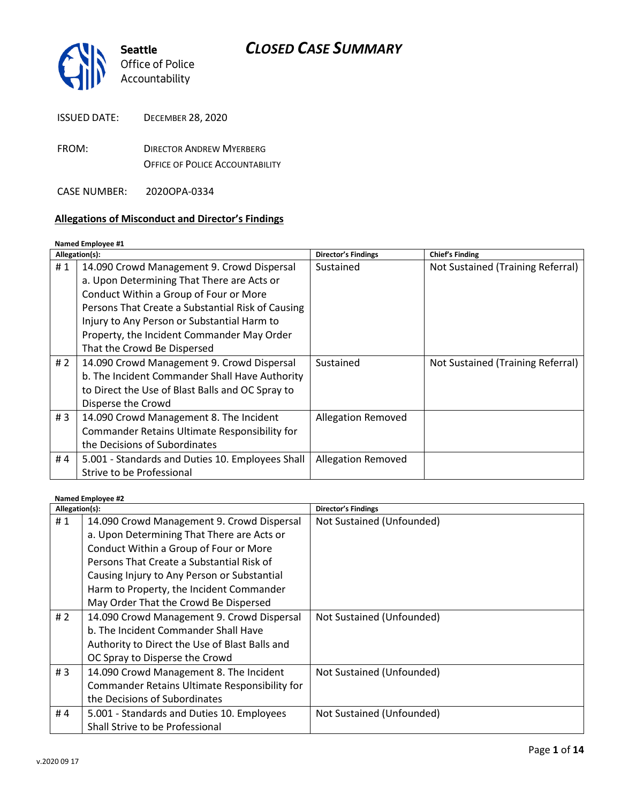| <b>CLOSED CASE SUMMARY</b> |  |  |  |
|----------------------------|--|--|--|
|----------------------------|--|--|--|



| <b>ISSUED DATE:</b> | <b>DECEMBER 28, 2020</b>                                                  |
|---------------------|---------------------------------------------------------------------------|
| FROM:               | <b>DIRECTOR ANDREW MYERBERG</b><br><b>OFFICE OF POLICE ACCOUNTABILITY</b> |
| CASE NUMBER:        | 2020OPA-0334                                                              |

#### **Allegations of Misconduct and Director's Findings**

#### **Named Employee #1 Allegation(s): Director's Findings Chief's Finding** # 1 | 14.090 Crowd Management 9. Crowd Dispersal a. Upon Determining That There are Acts or Conduct Within a Group of Four or More Persons That Create a Substantial Risk of Causing Injury to Any Person or Substantial Harm to Property, the Incident Commander May Order That the Crowd Be Dispersed Sustained **[Not Sustained \(Training Referral\)](https://www.seattle.gov/Documents/Departments/OPA/ClosedCaseSummaries/2020OPA-0334-Chief-Disagreement-Letter.pdf)** # 2 | 14.090 Crowd Management 9. Crowd Dispersal b. The Incident Commander Shall Have Authority to Direct the Use of Blast Balls and OC Spray to Disperse the Crowd Sustained | [Not Sustained \(Training Referral\)](https://www.seattle.gov/Documents/Departments/OPA/ClosedCaseSummaries/2020OPA-0334-Chief-Disagreement-Letter.pdf)  $\# 3 \mid 14.090$  Crowd Management 8. The Incident Commander Retains Ultimate Responsibility for the Decisions of Subordinates Allegation Removed # 4  $\vert$  5.001 - Standards and Duties 10. Employees Shall Strive to be Professional Allegation Removed

#### **Named Employee #2**

| Allegation(s): |                                                | <b>Director's Findings</b> |
|----------------|------------------------------------------------|----------------------------|
| #1             | 14.090 Crowd Management 9. Crowd Dispersal     | Not Sustained (Unfounded)  |
|                | a. Upon Determining That There are Acts or     |                            |
|                | Conduct Within a Group of Four or More         |                            |
|                | Persons That Create a Substantial Risk of      |                            |
|                | Causing Injury to Any Person or Substantial    |                            |
|                | Harm to Property, the Incident Commander       |                            |
|                | May Order That the Crowd Be Dispersed          |                            |
| # $2$          | 14.090 Crowd Management 9. Crowd Dispersal     | Not Sustained (Unfounded)  |
|                | b. The Incident Commander Shall Have           |                            |
|                | Authority to Direct the Use of Blast Balls and |                            |
|                | OC Spray to Disperse the Crowd                 |                            |
| #3             | 14.090 Crowd Management 8. The Incident        | Not Sustained (Unfounded)  |
|                | Commander Retains Ultimate Responsibility for  |                            |
|                | the Decisions of Subordinates                  |                            |
| #4             | 5.001 - Standards and Duties 10. Employees     | Not Sustained (Unfounded)  |
|                | Shall Strive to be Professional                |                            |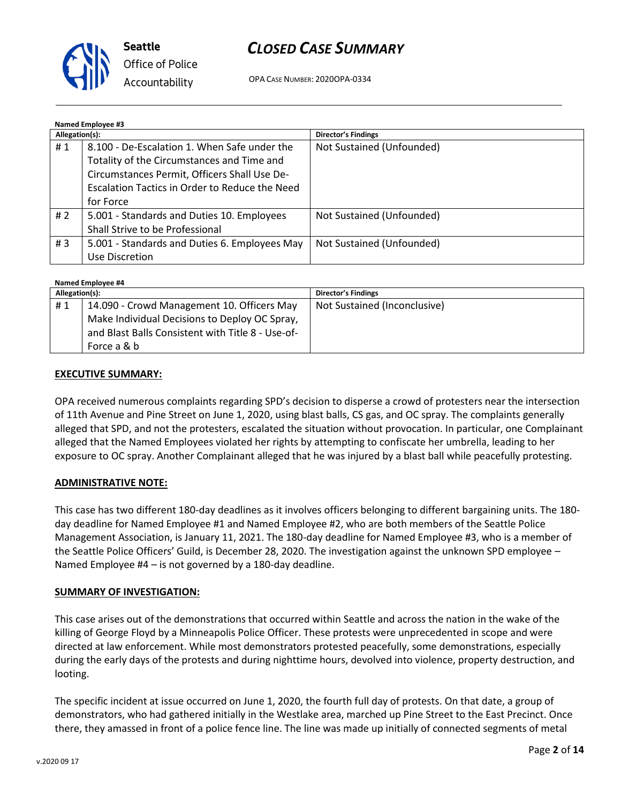

OPA CASE NUMBER: 2020OPA-0334

| <b>Named Employee #3</b> |                                                                                            |                            |
|--------------------------|--------------------------------------------------------------------------------------------|----------------------------|
| Allegation(s):           |                                                                                            | <b>Director's Findings</b> |
| #1                       | 8.100 - De-Escalation 1. When Safe under the<br>Totality of the Circumstances and Time and | Not Sustained (Unfounded)  |
|                          | Circumstances Permit, Officers Shall Use De-                                               |                            |
|                          | Escalation Tactics in Order to Reduce the Need                                             |                            |
|                          | for Force                                                                                  |                            |
| # $2$                    | 5.001 - Standards and Duties 10. Employees                                                 | Not Sustained (Unfounded)  |
|                          | Shall Strive to be Professional                                                            |                            |
| #3                       | 5.001 - Standards and Duties 6. Employees May                                              | Not Sustained (Unfounded)  |
|                          | Use Discretion                                                                             |                            |

| Named Employee #4 |                                                   |                              |  |
|-------------------|---------------------------------------------------|------------------------------|--|
| Allegation(s):    |                                                   | <b>Director's Findings</b>   |  |
| #1                | 14.090 - Crowd Management 10. Officers May        | Not Sustained (Inconclusive) |  |
|                   | Make Individual Decisions to Deploy OC Spray,     |                              |  |
|                   | and Blast Balls Consistent with Title 8 - Use-of- |                              |  |
|                   | Force a & b                                       |                              |  |

### **EXECUTIVE SUMMARY:**

OPA received numerous complaints regarding SPD's decision to disperse a crowd of protesters near the intersection of 11th Avenue and Pine Street on June 1, 2020, using blast balls, CS gas, and OC spray. The complaints generally alleged that SPD, and not the protesters, escalated the situation without provocation. In particular, one Complainant alleged that the Named Employees violated her rights by attempting to confiscate her umbrella, leading to her exposure to OC spray. Another Complainant alleged that he was injured by a blast ball while peacefully protesting.

#### **ADMINISTRATIVE NOTE:**

This case has two different 180-day deadlines as it involves officers belonging to different bargaining units. The 180 day deadline for Named Employee #1 and Named Employee #2, who are both members of the Seattle Police Management Association, is January 11, 2021. The 180-day deadline for Named Employee #3, who is a member of the Seattle Police Officers' Guild, is December 28, 2020. The investigation against the unknown SPD employee – Named Employee #4 – is not governed by a 180-day deadline.

#### **SUMMARY OF INVESTIGATION:**

This case arises out of the demonstrations that occurred within Seattle and across the nation in the wake of the killing of George Floyd by a Minneapolis Police Officer. These protests were unprecedented in scope and were directed at law enforcement. While most demonstrators protested peacefully, some demonstrations, especially during the early days of the protests and during nighttime hours, devolved into violence, property destruction, and looting.

The specific incident at issue occurred on June 1, 2020, the fourth full day of protests. On that date, a group of demonstrators, who had gathered initially in the Westlake area, marched up Pine Street to the East Precinct. Once there, they amassed in front of a police fence line. The line was made up initially of connected segments of metal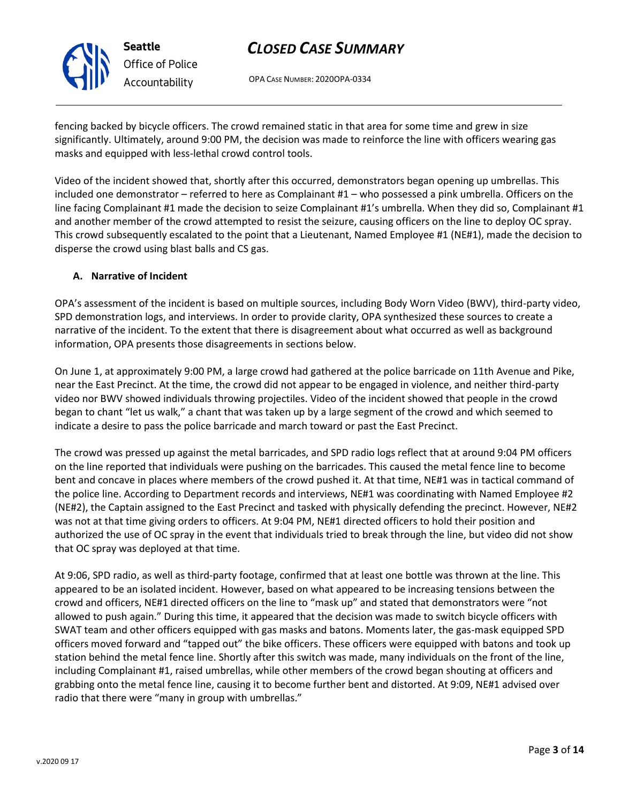OPA CASE NUMBER: 2020OPA-0334

fencing backed by bicycle officers. The crowd remained static in that area for some time and grew in size significantly. Ultimately, around 9:00 PM, the decision was made to reinforce the line with officers wearing gas masks and equipped with less-lethal crowd control tools.

Video of the incident showed that, shortly after this occurred, demonstrators began opening up umbrellas. This included one demonstrator – referred to here as Complainant #1 – who possessed a pink umbrella. Officers on the line facing Complainant #1 made the decision to seize Complainant #1's umbrella. When they did so, Complainant #1 and another member of the crowd attempted to resist the seizure, causing officers on the line to deploy OC spray. This crowd subsequently escalated to the point that a Lieutenant, Named Employee #1 (NE#1), made the decision to disperse the crowd using blast balls and CS gas.

## **A. Narrative of Incident**

OPA's assessment of the incident is based on multiple sources, including Body Worn Video (BWV), third-party video, SPD demonstration logs, and interviews. In order to provide clarity, OPA synthesized these sources to create a narrative of the incident. To the extent that there is disagreement about what occurred as well as background information, OPA presents those disagreements in sections below.

On June 1, at approximately 9:00 PM, a large crowd had gathered at the police barricade on 11th Avenue and Pike, near the East Precinct. At the time, the crowd did not appear to be engaged in violence, and neither third-party video nor BWV showed individuals throwing projectiles. Video of the incident showed that people in the crowd began to chant "let us walk," a chant that was taken up by a large segment of the crowd and which seemed to indicate a desire to pass the police barricade and march toward or past the East Precinct.

The crowd was pressed up against the metal barricades, and SPD radio logs reflect that at around 9:04 PM officers on the line reported that individuals were pushing on the barricades. This caused the metal fence line to become bent and concave in places where members of the crowd pushed it. At that time, NE#1 was in tactical command of the police line. According to Department records and interviews, NE#1 was coordinating with Named Employee #2 (NE#2), the Captain assigned to the East Precinct and tasked with physically defending the precinct. However, NE#2 was not at that time giving orders to officers. At 9:04 PM, NE#1 directed officers to hold their position and authorized the use of OC spray in the event that individuals tried to break through the line, but video did not show that OC spray was deployed at that time.

At 9:06, SPD radio, as well as third-party footage, confirmed that at least one bottle was thrown at the line. This appeared to be an isolated incident. However, based on what appeared to be increasing tensions between the crowd and officers, NE#1 directed officers on the line to "mask up" and stated that demonstrators were "not allowed to push again." During this time, it appeared that the decision was made to switch bicycle officers with SWAT team and other officers equipped with gas masks and batons. Moments later, the gas-mask equipped SPD officers moved forward and "tapped out" the bike officers. These officers were equipped with batons and took up station behind the metal fence line. Shortly after this switch was made, many individuals on the front of the line, including Complainant #1, raised umbrellas, while other members of the crowd began shouting at officers and grabbing onto the metal fence line, causing it to become further bent and distorted. At 9:09, NE#1 advised over radio that there were "many in group with umbrellas."

Page **3** of **14**



**Seattle** *Office of Police Accountability*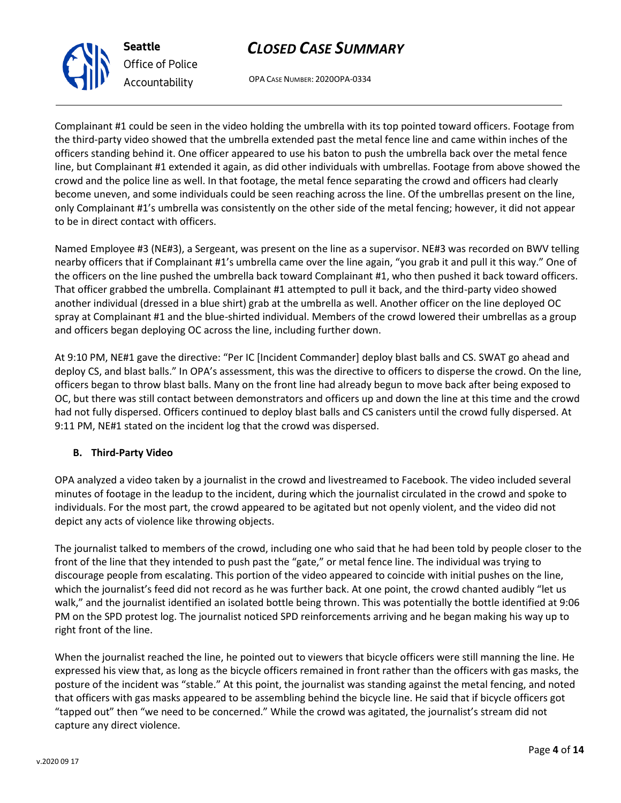OPA CASE NUMBER: 2020OPA-0334

Complainant #1 could be seen in the video holding the umbrella with its top pointed toward officers. Footage from the third-party video showed that the umbrella extended past the metal fence line and came within inches of the officers standing behind it. One officer appeared to use his baton to push the umbrella back over the metal fence line, but Complainant #1 extended it again, as did other individuals with umbrellas. Footage from above showed the crowd and the police line as well. In that footage, the metal fence separating the crowd and officers had clearly become uneven, and some individuals could be seen reaching across the line. Of the umbrellas present on the line, only Complainant #1's umbrella was consistently on the other side of the metal fencing; however, it did not appear to be in direct contact with officers.

Named Employee #3 (NE#3), a Sergeant, was present on the line as a supervisor. NE#3 was recorded on BWV telling nearby officers that if Complainant #1's umbrella came over the line again, "you grab it and pull it this way." One of the officers on the line pushed the umbrella back toward Complainant #1, who then pushed it back toward officers. That officer grabbed the umbrella. Complainant #1 attempted to pull it back, and the third-party video showed another individual (dressed in a blue shirt) grab at the umbrella as well. Another officer on the line deployed OC spray at Complainant #1 and the blue-shirted individual. Members of the crowd lowered their umbrellas as a group and officers began deploying OC across the line, including further down.

At 9:10 PM, NE#1 gave the directive: "Per IC [Incident Commander] deploy blast balls and CS. SWAT go ahead and deploy CS, and blast balls." In OPA's assessment, this was the directive to officers to disperse the crowd. On the line, officers began to throw blast balls. Many on the front line had already begun to move back after being exposed to OC, but there was still contact between demonstrators and officers up and down the line at this time and the crowd had not fully dispersed. Officers continued to deploy blast balls and CS canisters until the crowd fully dispersed. At 9:11 PM, NE#1 stated on the incident log that the crowd was dispersed.

## **B. Third-Party Video**

OPA analyzed a video taken by a journalist in the crowd and livestreamed to Facebook. The video included several minutes of footage in the leadup to the incident, during which the journalist circulated in the crowd and spoke to individuals. For the most part, the crowd appeared to be agitated but not openly violent, and the video did not depict any acts of violence like throwing objects.

The journalist talked to members of the crowd, including one who said that he had been told by people closer to the front of the line that they intended to push past the "gate," or metal fence line. The individual was trying to discourage people from escalating. This portion of the video appeared to coincide with initial pushes on the line, which the journalist's feed did not record as he was further back. At one point, the crowd chanted audibly "let us walk," and the journalist identified an isolated bottle being thrown. This was potentially the bottle identified at 9:06 PM on the SPD protest log. The journalist noticed SPD reinforcements arriving and he began making his way up to right front of the line.

When the journalist reached the line, he pointed out to viewers that bicycle officers were still manning the line. He expressed his view that, as long as the bicycle officers remained in front rather than the officers with gas masks, the posture of the incident was "stable." At this point, the journalist was standing against the metal fencing, and noted that officers with gas masks appeared to be assembling behind the bicycle line. He said that if bicycle officers got "tapped out" then "we need to be concerned." While the crowd was agitated, the journalist's stream did not capture any direct violence.



**Seattle**

*Office of Police*

*Accountability*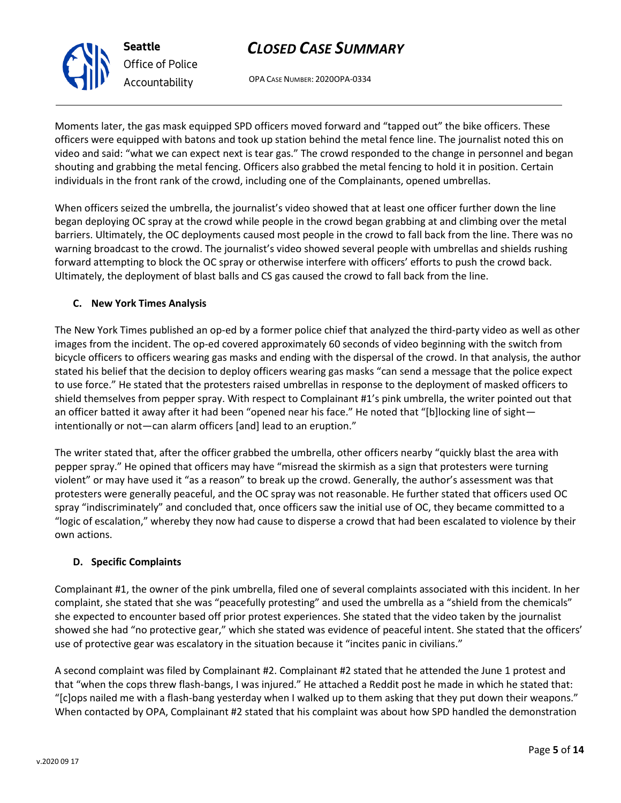OPA CASE NUMBER: 2020OPA-0334

Moments later, the gas mask equipped SPD officers moved forward and "tapped out" the bike officers. These officers were equipped with batons and took up station behind the metal fence line. The journalist noted this on video and said: "what we can expect next is tear gas." The crowd responded to the change in personnel and began shouting and grabbing the metal fencing. Officers also grabbed the metal fencing to hold it in position. Certain individuals in the front rank of the crowd, including one of the Complainants, opened umbrellas.

When officers seized the umbrella, the journalist's video showed that at least one officer further down the line began deploying OC spray at the crowd while people in the crowd began grabbing at and climbing over the metal barriers. Ultimately, the OC deployments caused most people in the crowd to fall back from the line. There was no warning broadcast to the crowd. The journalist's video showed several people with umbrellas and shields rushing forward attempting to block the OC spray or otherwise interfere with officers' efforts to push the crowd back. Ultimately, the deployment of blast balls and CS gas caused the crowd to fall back from the line.

## **C. New York Times Analysis**

**Seattle**

*Office of Police Accountability*

The New York Times published an op-ed by a former police chief that analyzed the third-party video as well as other images from the incident. The op-ed covered approximately 60 seconds of video beginning with the switch from bicycle officers to officers wearing gas masks and ending with the dispersal of the crowd. In that analysis, the author stated his belief that the decision to deploy officers wearing gas masks "can send a message that the police expect to use force." He stated that the protesters raised umbrellas in response to the deployment of masked officers to shield themselves from pepper spray. With respect to Complainant #1's pink umbrella, the writer pointed out that an officer batted it away after it had been "opened near his face." He noted that "[b]locking line of sight intentionally or not—can alarm officers [and] lead to an eruption."

The writer stated that, after the officer grabbed the umbrella, other officers nearby "quickly blast the area with pepper spray." He opined that officers may have "misread the skirmish as a sign that protesters were turning violent" or may have used it "as a reason" to break up the crowd. Generally, the author's assessment was that protesters were generally peaceful, and the OC spray was not reasonable. He further stated that officers used OC spray "indiscriminately" and concluded that, once officers saw the initial use of OC, they became committed to a "logic of escalation," whereby they now had cause to disperse a crowd that had been escalated to violence by their own actions.

## **D. Specific Complaints**

Complainant #1, the owner of the pink umbrella, filed one of several complaints associated with this incident. In her complaint, she stated that she was "peacefully protesting" and used the umbrella as a "shield from the chemicals" she expected to encounter based off prior protest experiences. She stated that the video taken by the journalist showed she had "no protective gear," which she stated was evidence of peaceful intent. She stated that the officers' use of protective gear was escalatory in the situation because it "incites panic in civilians."

A second complaint was filed by Complainant #2. Complainant #2 stated that he attended the June 1 protest and that "when the cops threw flash-bangs, I was injured." He attached a Reddit post he made in which he stated that: "[c]ops nailed me with a flash-bang yesterday when I walked up to them asking that they put down their weapons." When contacted by OPA, Complainant #2 stated that his complaint was about how SPD handled the demonstration

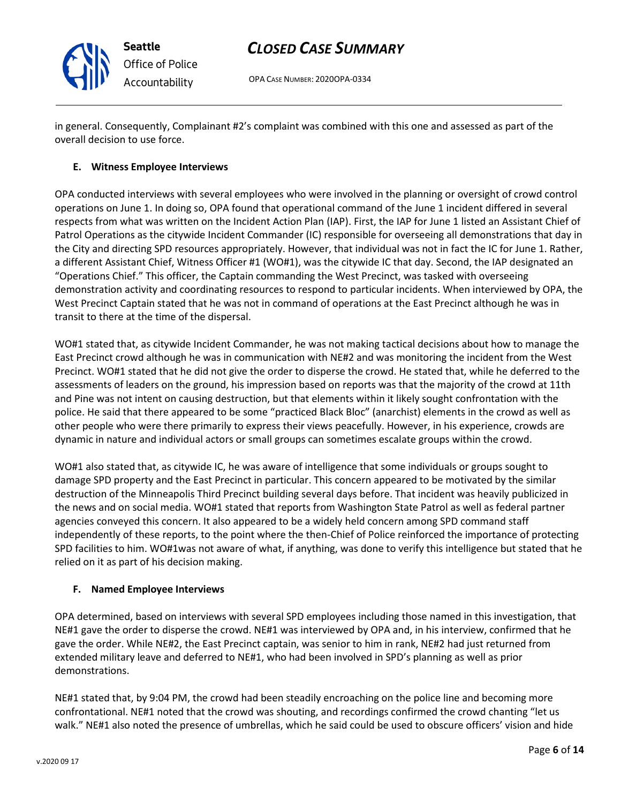

OPA CASE NUMBER: 2020OPA-0334

in general. Consequently, Complainant #2's complaint was combined with this one and assessed as part of the overall decision to use force.

## **E. Witness Employee Interviews**

OPA conducted interviews with several employees who were involved in the planning or oversight of crowd control operations on June 1. In doing so, OPA found that operational command of the June 1 incident differed in several respects from what was written on the Incident Action Plan (IAP). First, the IAP for June 1 listed an Assistant Chief of Patrol Operations as the citywide Incident Commander (IC) responsible for overseeing all demonstrations that day in the City and directing SPD resources appropriately. However, that individual was not in fact the IC for June 1. Rather, a different Assistant Chief, Witness Officer #1 (WO#1), was the citywide IC that day. Second, the IAP designated an "Operations Chief." This officer, the Captain commanding the West Precinct, was tasked with overseeing demonstration activity and coordinating resources to respond to particular incidents. When interviewed by OPA, the West Precinct Captain stated that he was not in command of operations at the East Precinct although he was in transit to there at the time of the dispersal.

WO#1 stated that, as citywide Incident Commander, he was not making tactical decisions about how to manage the East Precinct crowd although he was in communication with NE#2 and was monitoring the incident from the West Precinct. WO#1 stated that he did not give the order to disperse the crowd. He stated that, while he deferred to the assessments of leaders on the ground, his impression based on reports was that the majority of the crowd at 11th and Pine was not intent on causing destruction, but that elements within it likely sought confrontation with the police. He said that there appeared to be some "practiced Black Bloc" (anarchist) elements in the crowd as well as other people who were there primarily to express their views peacefully. However, in his experience, crowds are dynamic in nature and individual actors or small groups can sometimes escalate groups within the crowd.

WO#1 also stated that, as citywide IC, he was aware of intelligence that some individuals or groups sought to damage SPD property and the East Precinct in particular. This concern appeared to be motivated by the similar destruction of the Minneapolis Third Precinct building several days before. That incident was heavily publicized in the news and on social media. WO#1 stated that reports from Washington State Patrol as well as federal partner agencies conveyed this concern. It also appeared to be a widely held concern among SPD command staff independently of these reports, to the point where the then-Chief of Police reinforced the importance of protecting SPD facilities to him. WO#1was not aware of what, if anything, was done to verify this intelligence but stated that he relied on it as part of his decision making.

## **F. Named Employee Interviews**

OPA determined, based on interviews with several SPD employees including those named in this investigation, that NE#1 gave the order to disperse the crowd. NE#1 was interviewed by OPA and, in his interview, confirmed that he gave the order. While NE#2, the East Precinct captain, was senior to him in rank, NE#2 had just returned from extended military leave and deferred to NE#1, who had been involved in SPD's planning as well as prior demonstrations.

NE#1 stated that, by 9:04 PM, the crowd had been steadily encroaching on the police line and becoming more confrontational. NE#1 noted that the crowd was shouting, and recordings confirmed the crowd chanting "let us walk." NE#1 also noted the presence of umbrellas, which he said could be used to obscure officers' vision and hide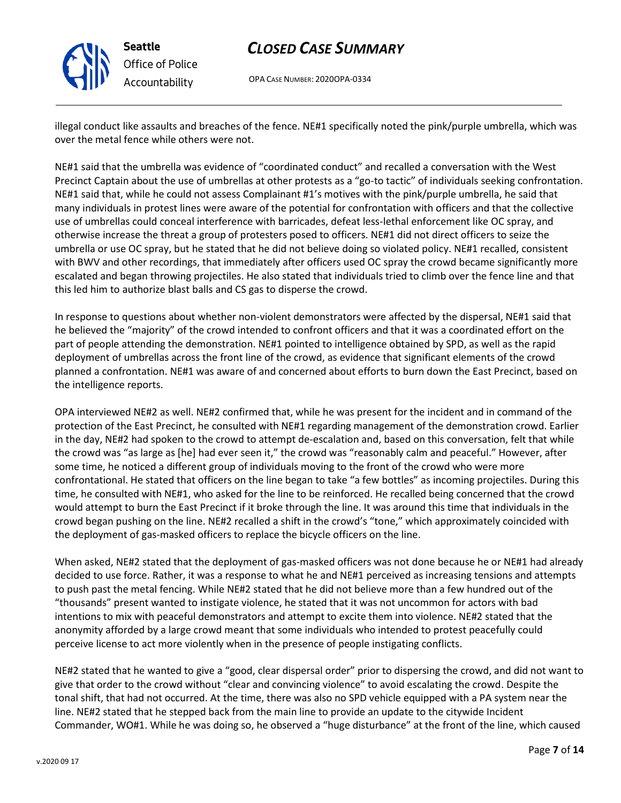

**Seattle** *Office of Police Accountability*

# *CLOSED CASE SUMMARY*

OPA CASE NUMBER: 2020OPA-0334

illegal conduct like assaults and breaches of the fence. NE#1 specifically noted the pink/purple umbrella, which was over the metal fence while others were not.

NE#1 said that the umbrella was evidence of "coordinated conduct" and recalled a conversation with the West Precinct Captain about the use of umbrellas at other protests as a "go-to tactic" of individuals seeking confrontation. NE#1 said that, while he could not assess Complainant #1's motives with the pink/purple umbrella, he said that many individuals in protest lines were aware of the potential for confrontation with officers and that the collective use of umbrellas could conceal interference with barricades, defeat less-lethal enforcement like OC spray, and otherwise increase the threat a group of protesters posed to officers. NE#1 did not direct officers to seize the umbrella or use OC spray, but he stated that he did not believe doing so violated policy. NE#1 recalled, consistent with BWV and other recordings, that immediately after officers used OC spray the crowd became significantly more escalated and began throwing projectiles. He also stated that individuals tried to climb over the fence line and that this led him to authorize blast balls and CS gas to disperse the crowd.

In response to questions about whether non-violent demonstrators were affected by the dispersal, NE#1 said that he believed the "majority" of the crowd intended to confront officers and that it was a coordinated effort on the part of people attending the demonstration. NE#1 pointed to intelligence obtained by SPD, as well as the rapid deployment of umbrellas across the front line of the crowd, as evidence that significant elements of the crowd planned a confrontation. NE#1 was aware of and concerned about efforts to burn down the East Precinct, based on the intelligence reports.

OPA interviewed NE#2 as well. NE#2 confirmed that, while he was present for the incident and in command of the protection of the East Precinct, he consulted with NE#1 regarding management of the demonstration crowd. Earlier in the day, NE#2 had spoken to the crowd to attempt de-escalation and, based on this conversation, felt that while the crowd was "as large as [he] had ever seen it," the crowd was "reasonably calm and peaceful." However, after some time, he noticed a different group of individuals moving to the front of the crowd who were more confrontational. He stated that officers on the line began to take "a few bottles" as incoming projectiles. During this time, he consulted with NE#1, who asked for the line to be reinforced. He recalled being concerned that the crowd would attempt to burn the East Precinct if it broke through the line. It was around this time that individuals in the crowd began pushing on the line. NE#2 recalled a shift in the crowd's "tone," which approximately coincided with the deployment of gas-masked officers to replace the bicycle officers on the line.

When asked, NE#2 stated that the deployment of gas-masked officers was not done because he or NE#1 had already decided to use force. Rather, it was a response to what he and NE#1 perceived as increasing tensions and attempts to push past the metal fencing. While NE#2 stated that he did not believe more than a few hundred out of the "thousands" present wanted to instigate violence, he stated that it was not uncommon for actors with bad intentions to mix with peaceful demonstrators and attempt to excite them into violence. NE#2 stated that the anonymity afforded by a large crowd meant that some individuals who intended to protest peacefully could perceive license to act more violently when in the presence of people instigating conflicts.

NE#2 stated that he wanted to give a "good, clear dispersal order" prior to dispersing the crowd, and did not want to give that order to the crowd without "clear and convincing violence" to avoid escalating the crowd. Despite the tonal shift, that had not occurred. At the time, there was also no SPD vehicle equipped with a PA system near the line. NE#2 stated that he stepped back from the main line to provide an update to the citywide Incident Commander, WO#1. While he was doing so, he observed a "huge disturbance" at the front of the line, which caused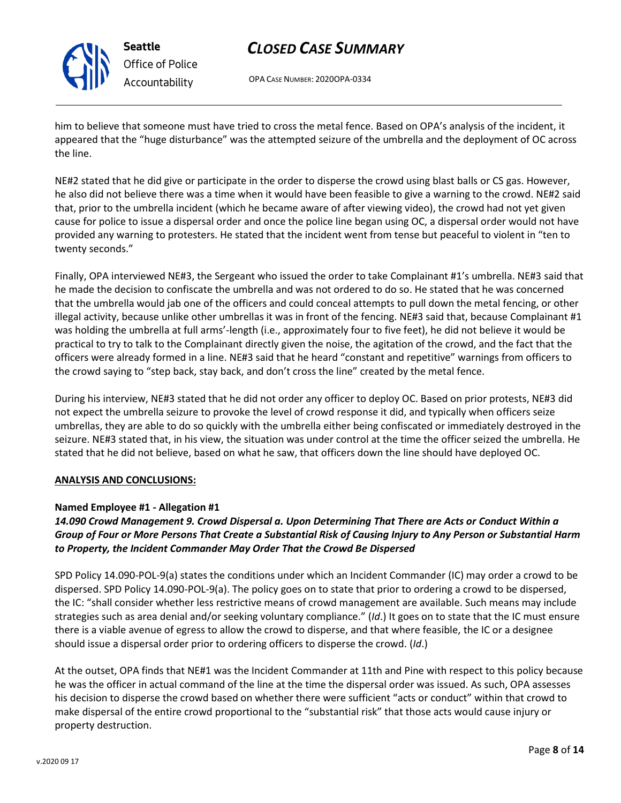

**Seattle** *Office of Police Accountability*

# *CLOSED CASE SUMMARY*

OPA CASE NUMBER: 2020OPA-0334

him to believe that someone must have tried to cross the metal fence. Based on OPA's analysis of the incident, it appeared that the "huge disturbance" was the attempted seizure of the umbrella and the deployment of OC across the line.

NE#2 stated that he did give or participate in the order to disperse the crowd using blast balls or CS gas. However, he also did not believe there was a time when it would have been feasible to give a warning to the crowd. NE#2 said that, prior to the umbrella incident (which he became aware of after viewing video), the crowd had not yet given cause for police to issue a dispersal order and once the police line began using OC, a dispersal order would not have provided any warning to protesters. He stated that the incident went from tense but peaceful to violent in "ten to twenty seconds."

Finally, OPA interviewed NE#3, the Sergeant who issued the order to take Complainant #1's umbrella. NE#3 said that he made the decision to confiscate the umbrella and was not ordered to do so. He stated that he was concerned that the umbrella would jab one of the officers and could conceal attempts to pull down the metal fencing, or other illegal activity, because unlike other umbrellas it was in front of the fencing. NE#3 said that, because Complainant  $#1$ was holding the umbrella at full arms'-length (i.e., approximately four to five feet), he did not believe it would be practical to try to talk to the Complainant directly given the noise, the agitation of the crowd, and the fact that the officers were already formed in a line. NE#3 said that he heard "constant and repetitive" warnings from officers to the crowd saying to "step back, stay back, and don't cross the line" created by the metal fence.

During his interview, NE#3 stated that he did not order any officer to deploy OC. Based on prior protests, NE#3 did not expect the umbrella seizure to provoke the level of crowd response it did, and typically when officers seize umbrellas, they are able to do so quickly with the umbrella either being confiscated or immediately destroyed in the seizure. NE#3 stated that, in his view, the situation was under control at the time the officer seized the umbrella. He stated that he did not believe, based on what he saw, that officers down the line should have deployed OC.

## **ANALYSIS AND CONCLUSIONS:**

## **Named Employee #1 - Allegation #1**

## *14.090 Crowd Management 9. Crowd Dispersal a. Upon Determining That There are Acts or Conduct Within a Group of Four or More Persons That Create a Substantial Risk of Causing Injury to Any Person or Substantial Harm to Property, the Incident Commander May Order That the Crowd Be Dispersed*

SPD Policy 14.090-POL-9(a) states the conditions under which an Incident Commander (IC) may order a crowd to be dispersed. SPD Policy 14.090-POL-9(a). The policy goes on to state that prior to ordering a crowd to be dispersed, the IC: "shall consider whether less restrictive means of crowd management are available. Such means may include strategies such as area denial and/or seeking voluntary compliance." (*Id*.) It goes on to state that the IC must ensure there is a viable avenue of egress to allow the crowd to disperse, and that where feasible, the IC or a designee should issue a dispersal order prior to ordering officers to disperse the crowd. (*Id*.)

At the outset, OPA finds that NE#1 was the Incident Commander at 11th and Pine with respect to this policy because he was the officer in actual command of the line at the time the dispersal order was issued. As such, OPA assesses his decision to disperse the crowd based on whether there were sufficient "acts or conduct" within that crowd to make dispersal of the entire crowd proportional to the "substantial risk" that those acts would cause injury or property destruction.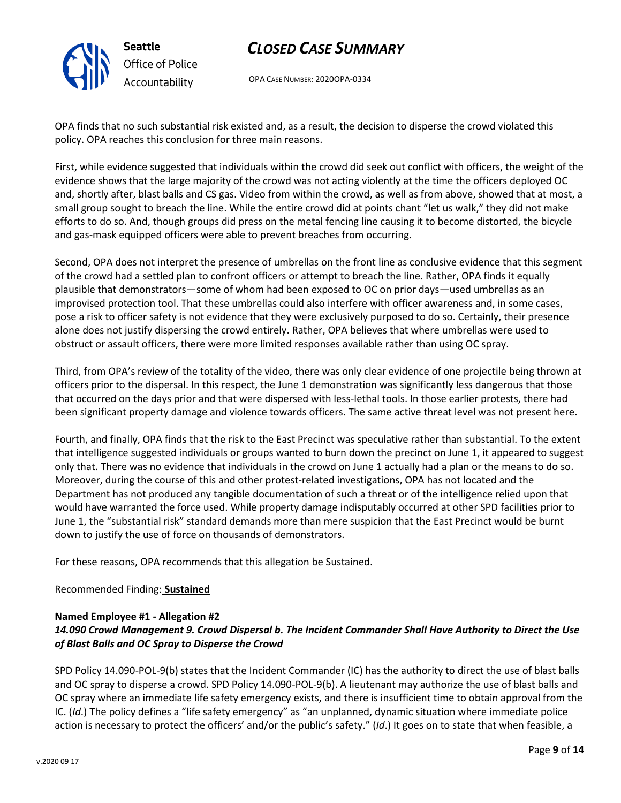

OPA CASE NUMBER: 2020OPA-0334

OPA finds that no such substantial risk existed and, as a result, the decision to disperse the crowd violated this policy. OPA reaches this conclusion for three main reasons.

First, while evidence suggested that individuals within the crowd did seek out conflict with officers, the weight of the evidence shows that the large majority of the crowd was not acting violently at the time the officers deployed OC and, shortly after, blast balls and CS gas. Video from within the crowd, as well as from above, showed that at most, a small group sought to breach the line. While the entire crowd did at points chant "let us walk," they did not make efforts to do so. And, though groups did press on the metal fencing line causing it to become distorted, the bicycle and gas-mask equipped officers were able to prevent breaches from occurring.

Second, OPA does not interpret the presence of umbrellas on the front line as conclusive evidence that this segment of the crowd had a settled plan to confront officers or attempt to breach the line. Rather, OPA finds it equally plausible that demonstrators—some of whom had been exposed to OC on prior days—used umbrellas as an improvised protection tool. That these umbrellas could also interfere with officer awareness and, in some cases, pose a risk to officer safety is not evidence that they were exclusively purposed to do so. Certainly, their presence alone does not justify dispersing the crowd entirely. Rather, OPA believes that where umbrellas were used to obstruct or assault officers, there were more limited responses available rather than using OC spray.

Third, from OPA's review of the totality of the video, there was only clear evidence of one projectile being thrown at officers prior to the dispersal. In this respect, the June 1 demonstration was significantly less dangerous that those that occurred on the days prior and that were dispersed with less-lethal tools. In those earlier protests, there had been significant property damage and violence towards officers. The same active threat level was not present here.

Fourth, and finally, OPA finds that the risk to the East Precinct was speculative rather than substantial. To the extent that intelligence suggested individuals or groups wanted to burn down the precinct on June 1, it appeared to suggest only that. There was no evidence that individuals in the crowd on June 1 actually had a plan or the means to do so. Moreover, during the course of this and other protest-related investigations, OPA has not located and the Department has not produced any tangible documentation of such a threat or of the intelligence relied upon that would have warranted the force used. While property damage indisputably occurred at other SPD facilities prior to June 1, the "substantial risk" standard demands more than mere suspicion that the East Precinct would be burnt down to justify the use of force on thousands of demonstrators.

For these reasons, OPA recommends that this allegation be Sustained.

## Recommended Finding: **Sustained**

#### **Named Employee #1 - Allegation #2**

## *14.090 Crowd Management 9. Crowd Dispersal b. The Incident Commander Shall Have Authority to Direct the Use of Blast Balls and OC Spray to Disperse the Crowd*

SPD Policy 14.090-POL-9(b) states that the Incident Commander (IC) has the authority to direct the use of blast balls and OC spray to disperse a crowd. SPD Policy 14.090-POL-9(b). A lieutenant may authorize the use of blast balls and OC spray where an immediate life safety emergency exists, and there is insufficient time to obtain approval from the IC. (*Id*.) The policy defines a "life safety emergency" as "an unplanned, dynamic situation where immediate police action is necessary to protect the officers' and/or the public's safety." (*Id*.) It goes on to state that when feasible, a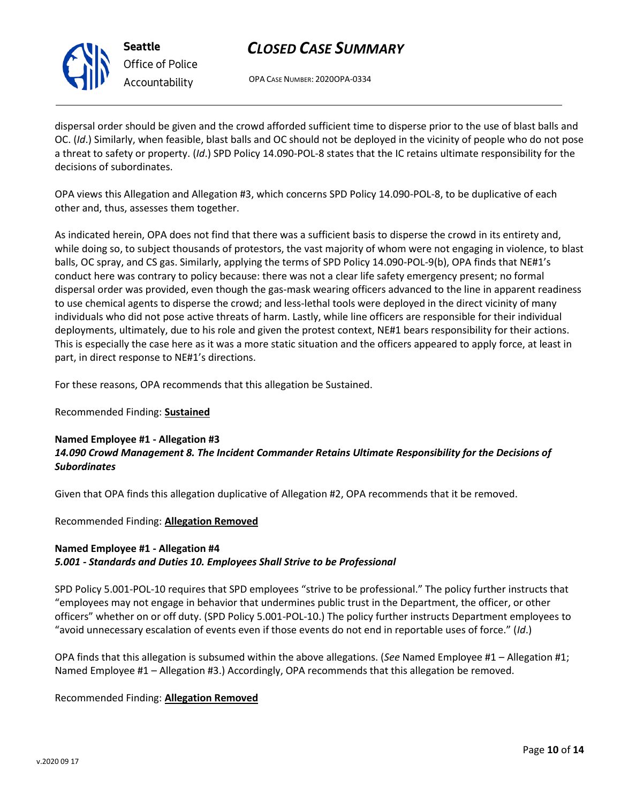

**Seattle** *Office of Police Accountability*

# *CLOSED CASE SUMMARY*

OPA CASE NUMBER: 2020OPA-0334

dispersal order should be given and the crowd afforded sufficient time to disperse prior to the use of blast balls and OC. (*Id*.) Similarly, when feasible, blast balls and OC should not be deployed in the vicinity of people who do not pose a threat to safety or property. (*Id*.) SPD Policy 14.090-POL-8 states that the IC retains ultimate responsibility for the decisions of subordinates.

OPA views this Allegation and Allegation #3, which concerns SPD Policy 14.090-POL-8, to be duplicative of each other and, thus, assesses them together.

As indicated herein, OPA does not find that there was a sufficient basis to disperse the crowd in its entirety and, while doing so, to subject thousands of protestors, the vast majority of whom were not engaging in violence, to blast balls, OC spray, and CS gas. Similarly, applying the terms of SPD Policy 14.090-POL-9(b), OPA finds that NE#1's conduct here was contrary to policy because: there was not a clear life safety emergency present; no formal dispersal order was provided, even though the gas-mask wearing officers advanced to the line in apparent readiness to use chemical agents to disperse the crowd; and less-lethal tools were deployed in the direct vicinity of many individuals who did not pose active threats of harm. Lastly, while line officers are responsible for their individual deployments, ultimately, due to his role and given the protest context, NE#1 bears responsibility for their actions. This is especially the case here as it was a more static situation and the officers appeared to apply force, at least in part, in direct response to NE#1's directions.

For these reasons, OPA recommends that this allegation be Sustained.

## Recommended Finding: **Sustained**

### **Named Employee #1 - Allegation #3** *14.090 Crowd Management 8. The Incident Commander Retains Ultimate Responsibility for the Decisions of Subordinates*

Given that OPA finds this allegation duplicative of Allegation #2, OPA recommends that it be removed.

Recommended Finding: **Allegation Removed**

### **Named Employee #1 - Allegation #4** *5.001 - Standards and Duties 10. Employees Shall Strive to be Professional*

SPD Policy 5.001-POL-10 requires that SPD employees "strive to be professional." The policy further instructs that "employees may not engage in behavior that undermines public trust in the Department, the officer, or other officers" whether on or off duty. (SPD Policy 5.001-POL-10.) The policy further instructs Department employees to "avoid unnecessary escalation of events even if those events do not end in reportable uses of force." (*Id*.)

OPA finds that this allegation is subsumed within the above allegations. (*See* Named Employee #1 – Allegation #1; Named Employee #1 – Allegation #3.) Accordingly, OPA recommends that this allegation be removed.

Recommended Finding: **Allegation Removed**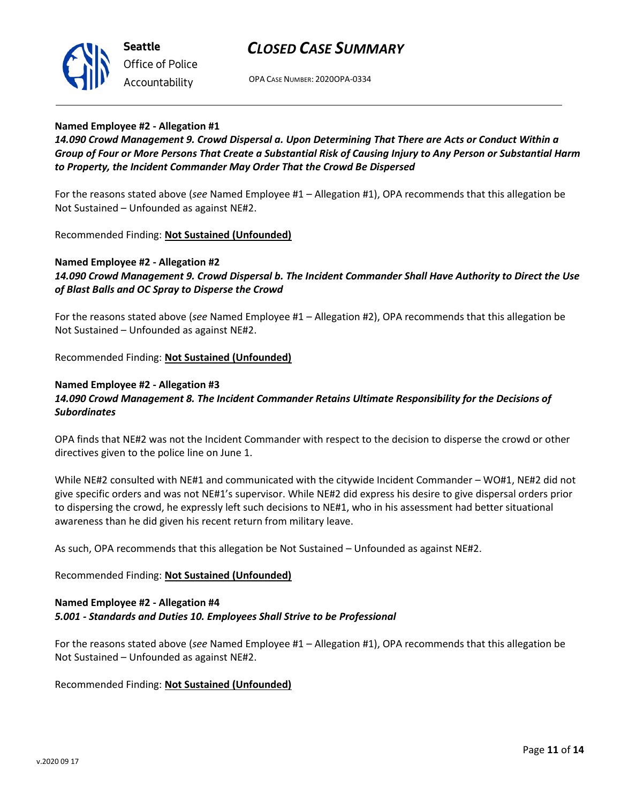

OPA CASE NUMBER: 2020OPA-0334

#### **Named Employee #2 - Allegation #1**

*14.090 Crowd Management 9. Crowd Dispersal a. Upon Determining That There are Acts or Conduct Within a Group of Four or More Persons That Create a Substantial Risk of Causing Injury to Any Person or Substantial Harm to Property, the Incident Commander May Order That the Crowd Be Dispersed*

For the reasons stated above (*see* Named Employee #1 – Allegation #1), OPA recommends that this allegation be Not Sustained – Unfounded as against NE#2.

Recommended Finding: **Not Sustained (Unfounded)**

## **Named Employee #2 - Allegation #2** *14.090 Crowd Management 9. Crowd Dispersal b. The Incident Commander Shall Have Authority to Direct the Use of Blast Balls and OC Spray to Disperse the Crowd*

For the reasons stated above (*see* Named Employee #1 – Allegation #2), OPA recommends that this allegation be Not Sustained – Unfounded as against NE#2.

Recommended Finding: **Not Sustained (Unfounded)**

### **Named Employee #2 - Allegation #3** *14.090 Crowd Management 8. The Incident Commander Retains Ultimate Responsibility for the Decisions of Subordinates*

OPA finds that NE#2 was not the Incident Commander with respect to the decision to disperse the crowd or other directives given to the police line on June 1.

While NE#2 consulted with NE#1 and communicated with the citywide Incident Commander – WO#1, NE#2 did not give specific orders and was not NE#1's supervisor. While NE#2 did express his desire to give dispersal orders prior to dispersing the crowd, he expressly left such decisions to NE#1, who in his assessment had better situational awareness than he did given his recent return from military leave.

As such, OPA recommends that this allegation be Not Sustained – Unfounded as against NE#2.

Recommended Finding: **Not Sustained (Unfounded)**

### **Named Employee #2 - Allegation #4** *5.001 - Standards and Duties 10. Employees Shall Strive to be Professional*

For the reasons stated above (*see* Named Employee #1 – Allegation #1), OPA recommends that this allegation be Not Sustained – Unfounded as against NE#2.

Recommended Finding: **Not Sustained (Unfounded)**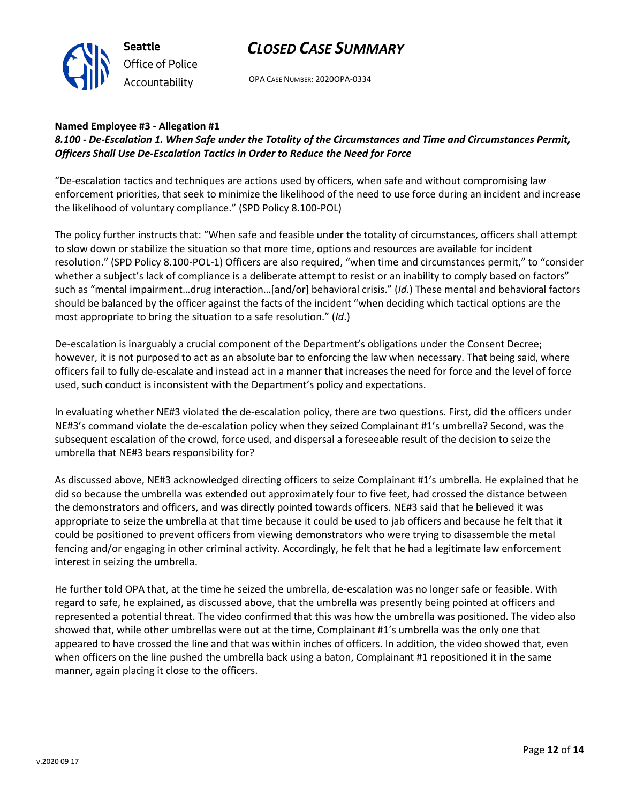

OPA CASE NUMBER: 2020OPA-0334

#### **Named Employee #3 - Allegation #1**

## *8.100 - De-Escalation 1. When Safe under the Totality of the Circumstances and Time and Circumstances Permit, Officers Shall Use De-Escalation Tactics in Order to Reduce the Need for Force*

"De-escalation tactics and techniques are actions used by officers, when safe and without compromising law enforcement priorities, that seek to minimize the likelihood of the need to use force during an incident and increase the likelihood of voluntary compliance." (SPD Policy 8.100-POL)

The policy further instructs that: "When safe and feasible under the totality of circumstances, officers shall attempt to slow down or stabilize the situation so that more time, options and resources are available for incident resolution." (SPD Policy 8.100-POL-1) Officers are also required, "when time and circumstances permit," to "consider whether a subject's lack of compliance is a deliberate attempt to resist or an inability to comply based on factors" such as "mental impairment…drug interaction…[and/or] behavioral crisis." (*Id*.) These mental and behavioral factors should be balanced by the officer against the facts of the incident "when deciding which tactical options are the most appropriate to bring the situation to a safe resolution." (*Id*.)

De-escalation is inarguably a crucial component of the Department's obligations under the Consent Decree; however, it is not purposed to act as an absolute bar to enforcing the law when necessary. That being said, where officers fail to fully de-escalate and instead act in a manner that increases the need for force and the level of force used, such conduct is inconsistent with the Department's policy and expectations.

In evaluating whether NE#3 violated the de-escalation policy, there are two questions. First, did the officers under NE#3's command violate the de-escalation policy when they seized Complainant #1's umbrella? Second, was the subsequent escalation of the crowd, force used, and dispersal a foreseeable result of the decision to seize the umbrella that NE#3 bears responsibility for?

As discussed above, NE#3 acknowledged directing officers to seize Complainant #1's umbrella. He explained that he did so because the umbrella was extended out approximately four to five feet, had crossed the distance between the demonstrators and officers, and was directly pointed towards officers. NE#3 said that he believed it was appropriate to seize the umbrella at that time because it could be used to jab officers and because he felt that it could be positioned to prevent officers from viewing demonstrators who were trying to disassemble the metal fencing and/or engaging in other criminal activity. Accordingly, he felt that he had a legitimate law enforcement interest in seizing the umbrella.

He further told OPA that, at the time he seized the umbrella, de-escalation was no longer safe or feasible. With regard to safe, he explained, as discussed above, that the umbrella was presently being pointed at officers and represented a potential threat. The video confirmed that this was how the umbrella was positioned. The video also showed that, while other umbrellas were out at the time, Complainant #1's umbrella was the only one that appeared to have crossed the line and that was within inches of officers. In addition, the video showed that, even when officers on the line pushed the umbrella back using a baton, Complainant #1 repositioned it in the same manner, again placing it close to the officers.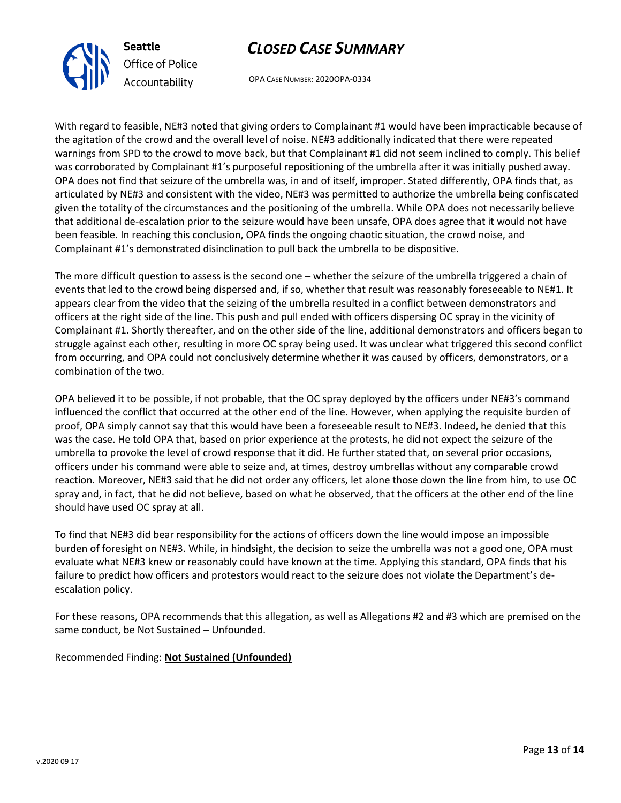

OPA CASE NUMBER: 2020OPA-0334

With regard to feasible, NE#3 noted that giving orders to Complainant #1 would have been impracticable because of the agitation of the crowd and the overall level of noise. NE#3 additionally indicated that there were repeated warnings from SPD to the crowd to move back, but that Complainant #1 did not seem inclined to comply. This belief was corroborated by Complainant #1's purposeful repositioning of the umbrella after it was initially pushed away. OPA does not find that seizure of the umbrella was, in and of itself, improper. Stated differently, OPA finds that, as articulated by NE#3 and consistent with the video, NE#3 was permitted to authorize the umbrella being confiscated given the totality of the circumstances and the positioning of the umbrella. While OPA does not necessarily believe that additional de-escalation prior to the seizure would have been unsafe, OPA does agree that it would not have been feasible. In reaching this conclusion, OPA finds the ongoing chaotic situation, the crowd noise, and Complainant #1's demonstrated disinclination to pull back the umbrella to be dispositive.

The more difficult question to assess is the second one – whether the seizure of the umbrella triggered a chain of events that led to the crowd being dispersed and, if so, whether that result was reasonably foreseeable to NE#1. It appears clear from the video that the seizing of the umbrella resulted in a conflict between demonstrators and officers at the right side of the line. This push and pull ended with officers dispersing OC spray in the vicinity of Complainant #1. Shortly thereafter, and on the other side of the line, additional demonstrators and officers began to struggle against each other, resulting in more OC spray being used. It was unclear what triggered this second conflict from occurring, and OPA could not conclusively determine whether it was caused by officers, demonstrators, or a combination of the two.

OPA believed it to be possible, if not probable, that the OC spray deployed by the officers under NE#3's command influenced the conflict that occurred at the other end of the line. However, when applying the requisite burden of proof, OPA simply cannot say that this would have been a foreseeable result to NE#3. Indeed, he denied that this was the case. He told OPA that, based on prior experience at the protests, he did not expect the seizure of the umbrella to provoke the level of crowd response that it did. He further stated that, on several prior occasions, officers under his command were able to seize and, at times, destroy umbrellas without any comparable crowd reaction. Moreover, NE#3 said that he did not order any officers, let alone those down the line from him, to use OC spray and, in fact, that he did not believe, based on what he observed, that the officers at the other end of the line should have used OC spray at all.

To find that NE#3 did bear responsibility for the actions of officers down the line would impose an impossible burden of foresight on NE#3. While, in hindsight, the decision to seize the umbrella was not a good one, OPA must evaluate what NE#3 knew or reasonably could have known at the time. Applying this standard, OPA finds that his failure to predict how officers and protestors would react to the seizure does not violate the Department's deescalation policy.

For these reasons, OPA recommends that this allegation, as well as Allegations #2 and #3 which are premised on the same conduct, be Not Sustained – Unfounded.

## Recommended Finding: **Not Sustained (Unfounded)**